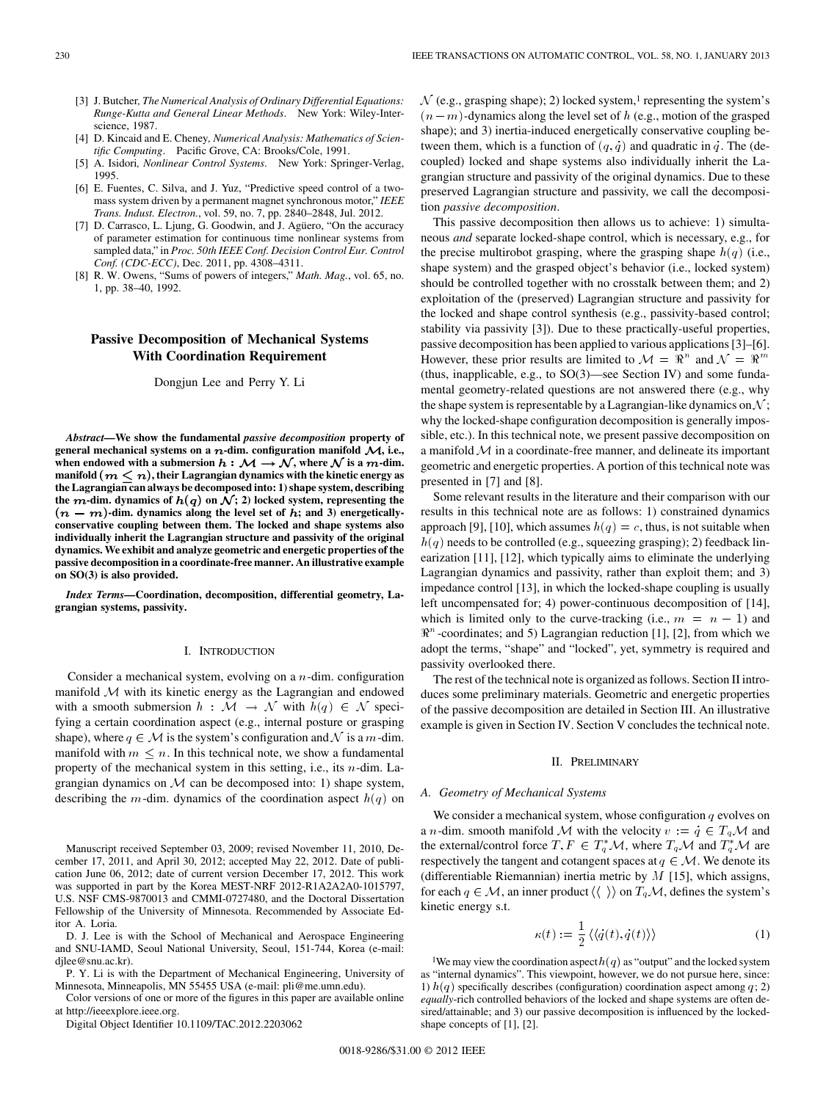- [3] J. Butcher*, The Numerical Analysis of Ordinary Differential Equations: Runge-Kutta and General Linear Methods*. New York: Wiley-Interscience, 1987.
- [4] D. Kincaid and E. Cheney*, Numerical Analysis: Mathematics of Scientific Computing*. Pacific Grove, CA: Brooks/Cole, 1991.
- [5] A. Isidori*, Nonlinear Control Systems*. New York: Springer-Verlag, 1995.
- [6] E. Fuentes, C. Silva, and J. Yuz, "Predictive speed control of a twomass system driven by a permanent magnet synchronous motor," *IEEE Trans. Indust. Electron.*, vol. 59, no. 7, pp. 2840–2848, Jul. 2012.
- [7] D. Carrasco, L. Ljung, G. Goodwin, and J. Agüero, "On the accuracy of parameter estimation for continuous time nonlinear systems from sampled data," in *Proc. 50th IEEE Conf. Decision Control Eur. Control Conf. (CDC-ECC)*, Dec. 2011, pp. 4308–4311.
- [8] R. W. Owens, "Sums of powers of integers," *Math. Mag.*, vol. 65, no. 1, pp. 38–40, 1992.

# **Passive Decomposition of Mechanical Systems With Coordination Requirement**

Dongjun Lee and Perry Y. Li

*Abstract—***We show the fundamental** *passive decomposition* **property of** general mechanical systems on a  $n$ -dim. configuration manifold  $\mathcal{M}$ , i.e., when endowed with a submersion  $h : \mathcal{M} \to \mathcal{N}$ , where  $\mathcal{N}$  is a  $m$ -dim. manifold  $(m\leq n),$  their Lagrangian dynamics with the kinetic energy as **the Lagrangian can always be decomposed into: 1) shape system, describing** the  $m$ -dim. dynamics of  $h(q)$  on  $\mathcal{N};$  2) locked system, representing the  $(n - m)$ -dim. dynamics along the level set of  $h$ ; and 3) energetically**conservative coupling between them. The locked and shape systems also individually inherit the Lagrangian structure and passivity of the original dynamics. We exhibit and analyze geometric and energetic properties of the passive decomposition in a coordinate-free manner. An illustrative example on SO(3) is also provided.**

*Index Terms—***Coordination, decomposition, differential geometry, Lagrangian systems, passivity.**

## I. INTRODUCTION

Consider a mechanical system, evolving on a  $n$ -dim. configuration manifold  $M$  with its kinetic energy as the Lagrangian and endowed with a smooth submersion  $h : \mathcal{M} \to \mathcal{N}$  with  $h(q) \in \mathcal{N}$  specifying a certain coordination aspect (e.g., internal posture or grasping shape), where  $q \in \mathcal{M}$  is the system's configuration and  $\mathcal N$  is a  $m$ -dim. manifold with  $m \leq n$ . In this technical note, we show a fundamental property of the mechanical system in this setting, i.e., its  $n$ -dim. Lagrangian dynamics on  $M$  can be decomposed into: 1) shape system, describing the *m*-dim. dynamics of the coordination aspect  $h(q)$  on

Manuscript received September 03, 2009; revised November 11, 2010, December 17, 2011, and April 30, 2012; accepted May 22, 2012. Date of publication June 06, 2012; date of current version December 17, 2012. This work was supported in part by the Korea MEST-NRF 2012-R1A2A2A0-1015797, U.S. NSF CMS-9870013 and CMMI-0727480, and the Doctoral Dissertation Fellowship of the University of Minnesota. Recommended by Associate Editor A. Loria.

D. J. Lee is with the School of Mechanical and Aerospace Engineering and SNU-IAMD, Seoul National University, Seoul, 151-744, Korea (e-mail: dilee@snu.ac.kr).

P. Y. Li is with the Department of Mechanical Engineering, University of Minnesota, Minneapolis, MN 55455 USA (e-mail: pli@me.umn.edu).

Color versions of one or more of the figures in this paper are available online at http://ieeexplore.ieee.org.

Digital Object Identifier 10.1109/TAC.2012.2203062

 $\mathcal{N}$  (e.g., grasping shape); 2) locked system,<sup>1</sup> representing the system's  $(n-m)$ -dynamics along the level set of  $h$  (e.g., motion of the grasped shape); and 3) inertia-induced energetically conservative coupling between them, which is a function of  $(q, q)$  and quadratic in q. The (decoupled) locked and shape systems also individually inherit the Lagrangian structure and passivity of the original dynamics. Due to these preserved Lagrangian structure and passivity, we call the decomposition *passive decomposition*.

This passive decomposition then allows us to achieve: 1) simultaneous *and* separate locked-shape control, which is necessary, e.g., for the precise multirobot grasping, where the grasping shape  $h(q)$  (i.e., shape system) and the grasped object's behavior (i.e., locked system) should be controlled together with no crosstalk between them; and 2) exploitation of the (preserved) Lagrangian structure and passivity for the locked and shape control synthesis (e.g., passivity-based control; stability via passivity [3]). Due to these practically-useful properties, passive decomposition has been applied to various applications [3]–[6]. However, these prior results are limited to  $\mathcal{M} = \mathbb{R}^n$  and  $\mathcal{N} = \mathbb{R}^m$ (thus, inapplicable, e.g., to SO(3)—see Section IV) and some fundamental geometry-related questions are not answered there (e.g., why the shape system is representable by a Lagrangian-like dynamics on  $\mathcal{N}$ ; why the locked-shape configuration decomposition is generally impossible, etc.). In this technical note, we present passive decomposition on a manifold  $M$  in a coordinate-free manner, and delineate its important geometric and energetic properties. A portion of this technical note was presented in [7] and [8].

Some relevant results in the literature and their comparison with our results in this technical note are as follows: 1) constrained dynamics approach [9], [10], which assumes  $h(q) = c$ , thus, is not suitable when  $h(q)$  needs to be controlled (e.g., squeezing grasping); 2) feedback linearization [11], [12], which typically aims to eliminate the underlying Lagrangian dynamics and passivity, rather than exploit them; and 3) impedance control [13], in which the locked-shape coupling is usually left uncompensated for; 4) power-continuous decomposition of [14], which is limited only to the curve-tracking (i.e.,  $m = n - 1$ ) and  $\mathbb{R}^n$ -coordinates; and 5) Lagrangian reduction [1], [2], from which we adopt the terms, "shape" and "locked", yet, symmetry is required and passivity overlooked there.

The rest of the technical note is organized as follows. Section II introduces some preliminary materials. Geometric and energetic properties of the passive decomposition are detailed in Section III. An illustrative example is given in Section IV. Section V concludes the technical note.

### II. PRELIMINARY

#### *A. Geometry of Mechanical Systems*

We consider a mechanical system, whose configuration  $q$  evolves on a *n*-dim. smooth manifold M with the velocity  $v := q \in T_q \mathcal{M}$  and the external/control force  $T, F \in T_q^* \mathcal{M}$ , where  $T_q \mathcal{M}$  and  $T_q^* \mathcal{M}$  are respectively the tangent and cotangent spaces at  $q \in \mathcal{M}$ . We denote its (differentiable Riemannian) inertia metric by  $M$  [15], which assigns, for each  $q \in \mathcal{M}$ , an inner product  $\langle \langle \ \rangle \rangle$  on  $T_q \mathcal{M}$ , defines the system's kinetic energy s.t.

$$
\kappa(t) := \frac{1}{2} \left\langle \langle \dot{q}(t), \dot{q}(t) \rangle \right\rangle \tag{1}
$$

<sup>1</sup>We may view the coordination aspect  $h(q)$  as "output" and the locked system as "internal dynamics". This viewpoint, however, we do not pursue here, since: 1)  $h(q)$  specifically describes (configuration) coordination aspect among  $q$ ; 2) *equally*-rich controlled behaviors of the locked and shape systems are often desired/attainable; and 3) our passive decomposition is influenced by the lockedshape concepts of [1], [2].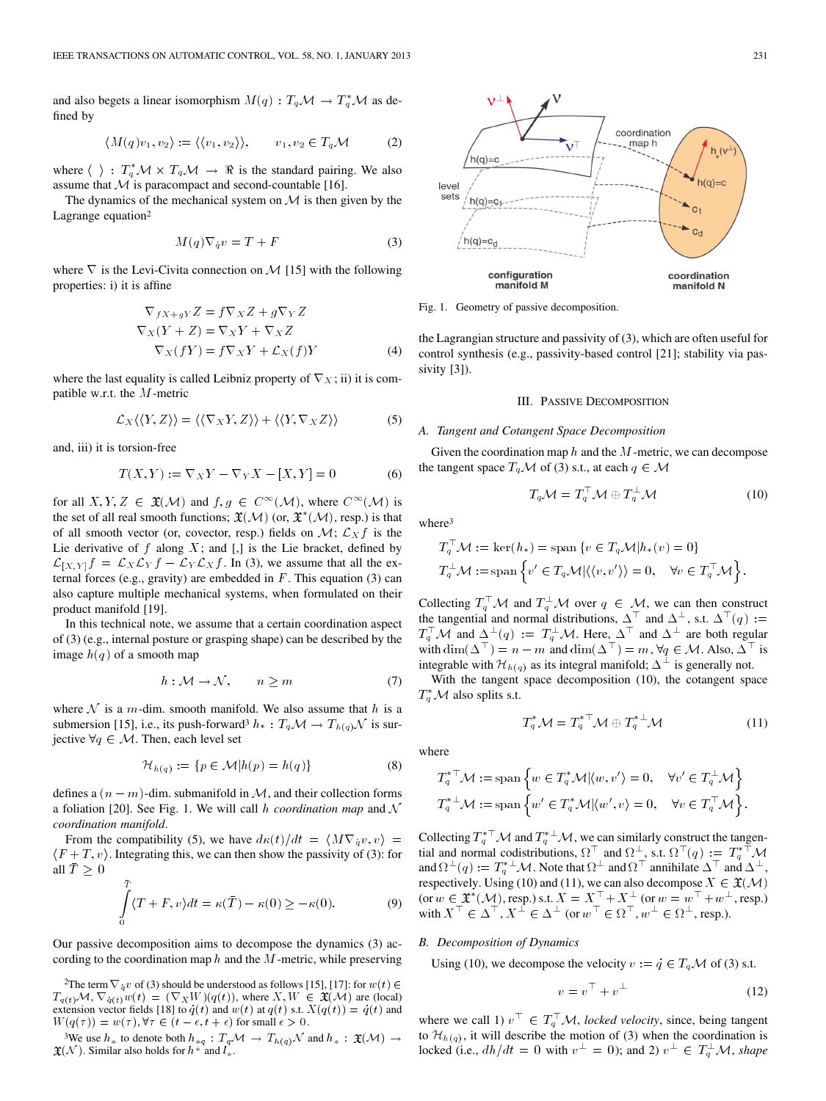and also begets a linear isomorphism  $M(q) : T_q \mathcal{M} \to T_q^* \mathcal{M}$  as defined by

$$
\langle M(q)v_1, v_2 \rangle := \langle \langle v_1, v_2 \rangle \rangle, \qquad v_1, v_2 \in T_q \mathcal{M} \tag{2}
$$

where  $\langle \ \rangle : T_q^* \mathcal{M} \times T_q \mathcal{M} \to \Re$  is the standard pairing. We also assume that  $M$  is paracompact and second-countable [16].

The dynamics of the mechanical system on  $M$  is then given by the Lagrange equation<sup>2</sup>

$$
M(q)\nabla_{\dot{q}}v = T + F \tag{3}
$$

where  $\nabla$  is the Levi-Civita connection on  $\mathcal{M}$  [15] with the following properties: i) it is affine

$$
\nabla_{f X + g Y} Z = f \nabla_{X} Z + g \nabla_{Y} Z
$$
  
\n
$$
\nabla_{X} (Y + Z) = \nabla_{X} Y + \nabla_{X} Z
$$
  
\n
$$
\nabla_{X} (f Y) = f \nabla_{X} Y + \mathcal{L}_{X} (f) Y
$$
\n(4)

where the last equality is called Leibniz property of  $\nabla_X$ ; ii) it is compatible w.r.t. the  $M$ -metric

$$
\mathcal{L}_X \langle \langle Y, Z \rangle \rangle = \langle \langle \nabla_X Y, Z \rangle \rangle + \langle \langle Y, \nabla_X Z \rangle \rangle \tag{5}
$$

and, iii) it is torsion-free

$$
T(X,Y) := \nabla_X Y - \nabla_Y X - [X,Y] = 0 \tag{6}
$$

for all  $X, Y, Z \in \mathfrak{X}(\mathcal{M})$  and  $f, g \in C^{\infty}(\mathcal{M})$ , where  $C^{\infty}(\mathcal{M})$  is the set of all real smooth functions;  $\mathfrak{X}(\mathcal{M})$  (or,  $\mathfrak{X}^*(\mathcal{M})$ , resp.) is that of all smooth vector (or, covector, resp.) fields on  $\mathcal{M}$ ;  $\mathcal{L}_X f$  is the Lie derivative of  $f$  along  $X$ ; and  $[,$  is the Lie bracket, defined by  $\mathcal{L}_{[X,Y]}f = \mathcal{L}_X \mathcal{L}_Y f - \mathcal{L}_Y \mathcal{L}_X f$ . In (3), we assume that all the external forces (e.g., gravity) are embedded in  $F$ . This equation (3) can also capture multiple mechanical systems, when formulated on their product manifold [19].

In this technical note, we assume that a certain coordination aspect of (3) (e.g., internal posture or grasping shape) can be described by the image  $h(q)$  of a smooth map

$$
h: \mathcal{M} \to \mathcal{N}, \qquad n \ge m \tag{7}
$$

where  $N$  is a m-dim. smooth manifold. We also assume that h is a submersion [15], i.e., its push-forward<sup>3</sup>  $h_* : T_q \mathcal{M} \to T_{h(q)} \mathcal{N}$  is surjective  $\forall q \in \mathcal{M}$ . Then, each level set

$$
\mathcal{H}_{h(q)} := \{ p \in \mathcal{M} | h(p) = h(q) \}
$$
 (8)

defines a  $(n - m)$ -dim. submanifold in  $M$ , and their collection forms a foliation [20]. See Fig. 1. We will call  $h$  *coordination map* and  $\mathcal N$ *coordination manifold*.

From the compatibility (5), we have  $d\kappa(t)/dt = \langle M\nabla_q v, v \rangle =$  $\langle F+T, v \rangle$ . Integrating this, we can then show the passivity of (3): for all  $\bar{T} \geq 0$ 

$$
\int_{0}^{\bar{T}} \langle T + F, v \rangle dt = \kappa(\bar{T}) - \kappa(0) \ge -\kappa(0). \tag{9}
$$

Our passive decomposition aims to decompose the dynamics (3) according to the coordination map  $h$  and the  $M$ -metric, while preserving

<sup>2</sup>The term  $\nabla_{\dot{q}} v$  of (3) should be understood as follows [15], [17]: for  $w(t) \in$  $T_{q(t)}\mathcal{M}, \nabla_{\dot{q}(t)}w(t) = (\nabla_X W)(q(t)),$  where  $X, W \in \mathfrak{X}(\mathcal{M})$  are (local) extension vector fields [18] to  $q(t)$  and  $w(t)$  at  $q(t)$  s.t.  $X(q(t)) = q(t)$  and  $W(q(\tau)) = w(\tau), \forall \tau \in (t - \epsilon, t + \epsilon)$  for small  $\epsilon > 0$ .

<sup>3</sup>We use  $h_*$  to denote both  $h_{*q}: T_qM \to T_{h(q)}\mathcal{N}$  and  $h_*: \mathfrak{X}(\mathcal{M}) \to$  $(N)$ . Similar also holds for  $h^*$  and  $l_*$ .



Fig. 1. Geometry of passive decomposition.

the Lagrangian structure and passivity of (3), which are often useful for control synthesis (e.g., passivity-based control [21]; stability via passivity [3]).

### III. PASSIVE DECOMPOSITION

#### *A. Tangent and Cotangent Space Decomposition*

Given the coordination map  $h$  and the  $M$ -metric, we can decompose the tangent space  $T_q \mathcal{M}$  of (3) s.t., at each  $q \in \mathcal{M}$ 

$$
T_q \mathcal{M} = T_q^\top \mathcal{M} \oplus T_q^\perp \mathcal{M} \tag{10}
$$

where3

$$
\begin{split} &T_q^\top \mathcal{M}:=\,\ker(h_*)=\text{span}\left\{v\in T_q\mathcal{M}| h_*(v)=0\right\}\\ &T_q^\perp \mathcal{M}:=\text{span}\left\{v^{'}\in T_q\mathcal{M}| \langle\langle v,v^{'}\rangle\rangle=0, \quad \forall v\in T_q^\top \mathcal{M}\right\}. \end{split}
$$

Collecting  $T_q^{\top} \mathcal{M}$  and  $T_q^{\perp} \mathcal{M}$  over  $q \in \mathcal{M}$ , we can then construct the tangential and normal distributions,  $\Delta^{\top}$  and  $\Delta^{\perp}$ , s.t.  $\Delta^{\top}(q) := T_q^{\top} \mathcal{M}$  and  $\Delta^{\perp}(q) := T_q^{\perp} \mathcal{M}$ . Here,  $\Delta^{\top}$  and  $\Delta^{\perp}$  are both regular with  $\dim(\Delta^{\top}) = n - m$  and  $\dim(\Delta^{\top}) = m$ ,  $\forall q \in \mathcal{M}$ . Also,  $\Delta^{\top}$  is integrable with  $\mathcal{H}_{h(q)}$  as its integral manifold;  $\Delta^{\perp}$  is generally not.

With the tangent space decomposition (10), the cotangent space  $T_q^*$  M also splits s.t.

$$
T_q^* \mathcal{M} = T_q^{*^{\top}} \mathcal{M} \oplus T_q^{*^{\perp}} \mathcal{M}
$$
 (11)

where

$$
\label{eq:3.1} \begin{split} T_q^{*\top} \mathcal{M} &:= \operatorname{span} \left\{ w \in T_q^* \mathcal{M} | \langle w, v' \rangle = 0, \quad \forall v' \in T_q^{\perp} \mathcal{M} \right\} \\ T_q^{*\perp} \mathcal{M} &:= \operatorname{span} \left\{ w' \in T_q^* \mathcal{M} | \langle w', v \rangle = 0, \quad \forall v \in T_q^{\top} \mathcal{M} \right\}. \end{split}
$$

Collecting  $T_q^{*\top} \mathcal{M}$  and  $T_q^{*\perp} \mathcal{M}$ , we can similarly construct the tangential and normal codistributions,  $\Omega^{\top}$  and  $\Omega^{\perp}$ , s.t.  $\Omega^{\top}(q) := T_q^{*\top} \mathcal{M}$ and  $\Omega^{\perp}(q) := T_q^{*\perp} \mathcal{M}$ . Note that  $\Omega^{\perp}$  and  $\Omega^{\perp}$  annihilate  $\Delta^{\perp}$  and  $\Delta^{\perp}$ , respectively. Using (10) and (11), we can also decompose  $X \in \mathfrak{X}(\mathcal{M})$ (or  $w \in \mathfrak{X}^*(\mathcal{M})$ , resp.) s.t.  $X = X^\top + X^\perp$  (or  $w = w^\top + w^\perp$ , resp.) with  $X^{\top} \in \Delta^{\top}$ ,  $X^{\perp} \in \Delta^{\perp}$  (or  $w^{\top} \in \Omega^{\top}$ ,  $w^{\perp} \in \Omega^{\perp}$ , resp.).

### *B. Decomposition of Dynamics*

Using (10), we decompose the velocity  $v := q \in T_q \mathcal{M}$  of (3) s.t.

$$
v = v^{\top} + v^{\perp} \tag{12}
$$

where we call 1)  $v^{\top} \in T_q^{\top} \mathcal{M}$ , *locked velocity*, since, being tangent to  $\mathcal{H}_{h(q)}$ , it will describe the motion of (3) when the coordination is locked (i.e.,  $dh/dt = 0$  with  $v^{\perp} = 0$ ); and 2)  $v^{\perp} \in T_q^{\perp} \mathcal{M}$ , shape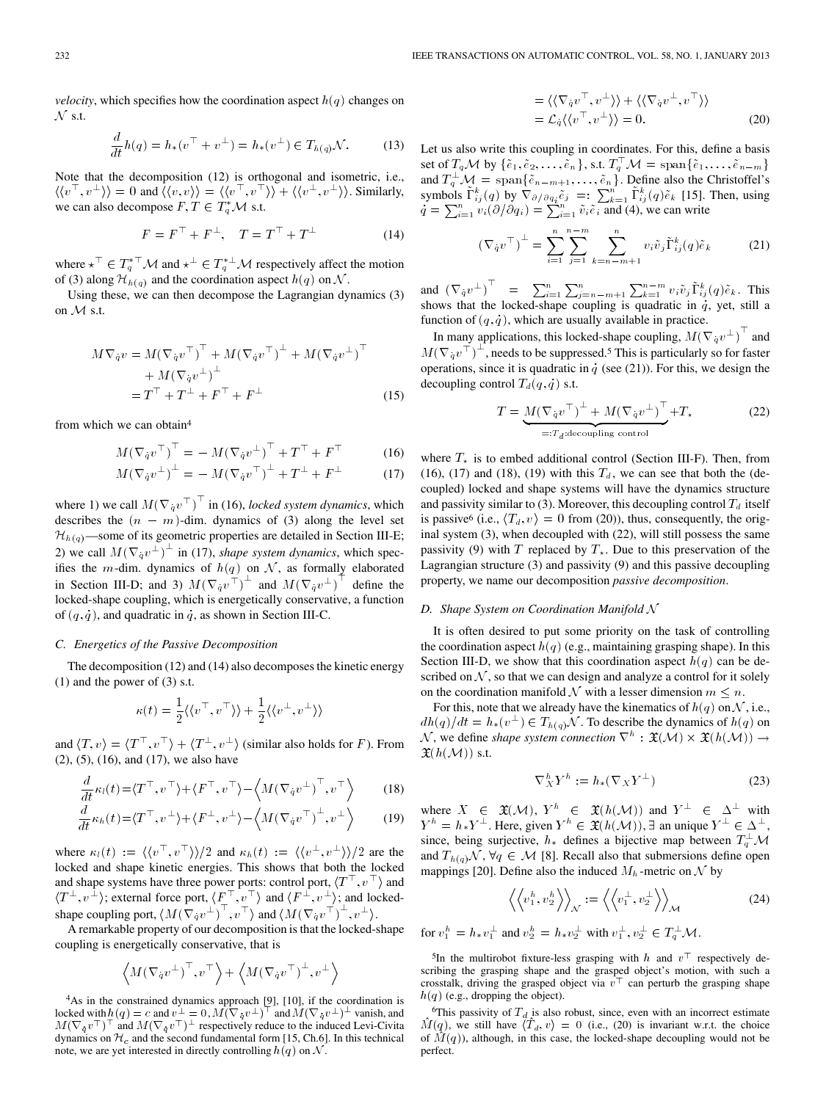*velocity*, which specifies how the coordination aspect  $h(q)$  changes on  $N$  s.t.

$$
\frac{d}{dt}h(q) = h_*(v^{\top} + v^{\perp}) = h_*(v^{\perp}) \in T_{h(q)}\mathcal{N}.
$$
 (13)

Note that the decomposition (12) is orthogonal and isometric, i.e.,  $\langle \langle v^\top, v^\perp \rangle \rangle = 0$  and  $\langle \langle v, v \rangle \rangle = \langle \langle v^\top, v^\top \rangle \rangle + \langle \langle v^\perp, v^\perp \rangle \rangle$ . Similarly, we can also decompose  $F, T \in T_q^* \mathcal{M}$  s.t.

$$
F = F^{\top} + F^{\perp}, \quad T = T^{\top} + T^{\perp}
$$
 (14)

where  $\star^{\top} \in T_q^{*\top} \mathcal{M}$  and  $\star^{\perp} \in T_q^{*\perp} \mathcal{M}$  respectively affect the motion of (3) along  $\mathcal{H}_{h(q)}$  and the coordination aspect  $h(q)$  on  $\mathcal{N}$ .

Using these, we can then decompose the Lagrangian dynamics (3) on  $M$  s.t.

$$
M\nabla_{\dot{q}}v = M(\nabla_{\dot{q}}v^{\top})^{\top} + M(\nabla_{\dot{q}}v^{\top})^{\perp} + M(\nabla_{\dot{q}}v^{\perp})^{\top}
$$
  
+ 
$$
M(\nabla_{\dot{q}}v^{\perp})^{\perp}
$$
  
= 
$$
T^{\top} + T^{\perp} + F^{\top} + F^{\perp}
$$
 (15)

from which we can obtain4

$$
M(\nabla_{\dot q} v^\top)^\top = -M(\nabla_{\dot q} v^\perp)^\top + T^\top + F^\top \tag{16}
$$

$$
M(\nabla_{\dot q} v^{\perp})^{\perp} = -M(\nabla_{\dot q} v^{\top})^{\perp} + T^{\perp} + F^{\perp}
$$
 (17)

where 1) we call  $M(\nabla_q v^\top)^\top$  in (16), *locked system dynamics*, which describes the  $(n - m)$ -dim. dynamics of (3) along the level set  $\mathcal{H}_{h(q)}$ —some of its geometric properties are detailed in Section III-E; 2) we call  $M(\nabla_q v^{\perp})^{\perp}$  in (17), *shape system dynamics*, which specifies the *m*-dim. dynamics of  $h(q)$  on N, as formally elaborated in Section III-D; and 3)  $M(\nabla_q v^{\uparrow})^{\perp}$  and  $M(\nabla_q v^{\perp})^{\uparrow}$  define the locked-shape coupling, which is energetically conservative, a function of  $(q, q)$ , and quadratic in q, as shown in Section III-C.

### *C. Energetics of the Passive Decomposition*

The decomposition (12) and (14) also decomposes the kinetic energy (1) and the power of (3) s.t.

$$
\kappa(t) = \frac{1}{2} \langle \langle v^\top, v^\top \rangle \rangle + \frac{1}{2} \langle \langle v^\perp, v^\perp \rangle \rangle
$$

and  $\langle T, v \rangle = \langle T^{\top}, v^{\top} \rangle + \langle T^{\perp}, v^{\perp} \rangle$  (similar also holds for F). From (2), (5), (16), and (17), we also have

$$
\frac{d}{dt}\kappa_l(t) = \langle T^\top, v^\top \rangle + \langle F^\top, v^\top \rangle - \langle M(\nabla_q v^\perp)^\top, v^\top \rangle \tag{18}
$$

$$
\frac{d}{dt}\kappa_h(t) = \langle T^\top, v^\perp \rangle + \langle F^\perp, v^\perp \rangle - \langle M(\nabla_q v^\top)^\perp, v^\perp \rangle \tag{19}
$$

where  $\kappa_l(t) := \langle \langle v^\top, v^\top \rangle \rangle / 2$  and  $\kappa_h(t) := \langle \langle v^\perp, v^\perp \rangle \rangle / 2$  are the locked and shape kinetic energies. This shows that both the locked and shape systems have three power ports: control port,  $\langle T^{\top}, v^{\top} \rangle$  and  $\langle T^{\perp}, v^{\perp} \rangle$ ; external force port,  $\langle F^{\top}, v^{\top} \rangle$  and  $\langle F^{\perp}, v^{\perp} \rangle$ ; and lockedshape coupling port,  $\langle M(\nabla_q v^{\perp})^{\top}, v^{\top} \rangle$  and  $\langle M(\nabla_q v^{\top})^{\perp}, v^{\perp} \rangle$ .

A remarkable property of our decomposition is that the locked-shape coupling is energetically conservative, that is

$$
\left\langle M(\nabla_{\dot{q}}v^{\perp})^{\top}, v^{\top}\right\rangle + \left\langle M(\nabla_{\dot{q}}v^{\top})^{\perp}, v^{\perp}\right\rangle
$$

4As in the constrained dynamics approach [9], [10], if the coordination is locked with  $h(q) = c$  and  $v^{\perp} = 0$ ,  $M(\nabla_q v^{\perp})^{\perp}$  and  $M(\nabla_q v^{\perp})^{\perp}$  vanish, and  $M(\nabla_{\dot{q}}v^{\top})^{\top}$  and  $M(\nabla_{\dot{q}}v^{\top})^{\bot}$  respectively reduce to the induced Levi-Civita dynamics on  $\mathcal{H}_c$  and the second fundamental form [15, Ch.6]. In this technical note, we are yet interested in directly controlling  $h(q)$  on  $N$ .

$$
= \langle \langle \nabla_{\dot{q}} v^{\top}, v^{\perp} \rangle \rangle + \langle \langle \nabla_{\dot{q}} v^{\perp}, v^{\top} \rangle \rangle
$$
  
=  $\mathcal{L}_{\dot{q}} \langle \langle v^{\top}, v^{\perp} \rangle \rangle = 0.$  (20)

Let us also write this coupling in coordinates. For this, define a basis set of  $T_qM$  by  $\{\tilde{e}_1, \tilde{e}_2, \ldots, \tilde{e}_n\}$ , s.t.  $T_q^{\top}M = \text{span}\{\tilde{e}_1, \ldots, \tilde{e}_{n-m}\}\$ and  $T_q^{\perp} \mathcal{M} = \text{span}\{\tilde{e}_{n-m+1}, \ldots, \tilde{e}_n\}$ . Define also the Christoffel's symbols  $\tilde{\Gamma}_{ij}^k(q)$  by  $\nabla_{\partial/\partial q_i}\tilde{e}_j =: \sum_{k=1}^n \tilde{\Gamma}_{ij}^k(q)\tilde{e}_k$  [15]. Then, using  $q = \sum_{i=1}^{n} v_i (\partial/\partial q_i) = \sum_{i=1}^{n} \tilde{v}_i \tilde{e}_i$  and (4), we can write

$$
\left(\nabla_{\dot{q}}v^{\top}\right)^{\perp} = \sum_{i=1}^{n} \sum_{j=1}^{n-m} \sum_{k=n-m+1}^{n} v_{i} \tilde{v}_{j} \tilde{\Gamma}_{ij}^{k}(q) \tilde{e}_{k} \tag{21}
$$

and  $(\nabla_{\dot q} v^{\perp})^{\top} = \sum_{i=1}^n \sum_{j=n-m+1}^n \sum_{k=1}^{n-m} v_i \tilde{v}_j \tilde{\Gamma}_{ij}^k(q) \tilde{e}_k$ . This shows that the locked-shape coupling is quadratic in  $q$ , yet, still a function of  $(q, q)$ , which are usually available in practice.

In many applications, this locked-shape coupling,  $M(\nabla_q v^{\perp})^{\top}$  and  $M(\nabla_q v^\top)^{\perp}$ , needs to be suppressed.<sup>5</sup> This is particularly so for faster operations, since it is quadratic in  $q$  (see (21)). For this, we design the decoupling control  $T_d(q, q)$  s.t.

$$
T = \underbrace{M(\nabla_{\dot{q}}v^{\top})^{\perp} + M(\nabla_{\dot{q}}v^{\perp})^{\top}}_{=:T_d:\text{decoupling control}} + T_{\star}
$$
 (22)

where  $T_{\star}$  is to embed additional control (Section III-F). Then, from (16), (17) and (18), (19) with this  $T_d$ , we can see that both the (decoupled) locked and shape systems will have the dynamics structure and passivity similar to (3). Moreover, this decoupling control  $T_d$  itself is passive<sup>6</sup> (i.e.,  $\langle T_d, v \rangle = 0$  from (20)), thus, consequently, the original system (3), when decoupled with (22), will still possess the same passivity (9) with T replaced by  $T_{\star}$ . Due to this preservation of the Lagrangian structure (3) and passivity (9) and this passive decoupling property, we name our decomposition *passive decomposition*.

#### *D. Shape System on Coordination Manifold*

It is often desired to put some priority on the task of controlling the coordination aspect  $h(q)$  (e.g., maintaining grasping shape). In this Section III-D, we show that this coordination aspect  $h(q)$  can be described on  $N$ , so that we can design and analyze a control for it solely on the coordination manifold  $\mathcal N$  with a lesser dimension  $m \leq n$ .

For this, note that we already have the kinematics of  $h(q)$  on  $N$ , i.e.,  $dh(q)/dt = h_*(v^{\perp}) \in T_{h(q)}\mathcal{N}$ . To describe the dynamics of  $h(q)$  on  $\mathcal N$ , we define *shape system connection*  $\nabla^h : \mathfrak X(\mathcal M) \times \mathfrak X(h(\mathcal M)) \to$  $(h(\mathcal{M}))$  s.t.

$$
\nabla_X^h Y^h := h_* (\nabla_X Y^\perp) \tag{23}
$$

where  $X \in \mathfrak{X}(\mathcal{M}), Y^h \in \mathfrak{X}(h(\mathcal{M}))$  and  $Y^{\perp} \in \Delta^{\perp}$  with  $Y^h = h_* Y^{\perp}$ . Here, given  $Y^h \in \mathfrak{X}(h(\mathcal{M}))$ ,  $\exists$  an unique  $Y^{\perp} \in \Delta^{\perp}$ , since, being surjective,  $h_*$  defines a bijective map between  $T_q^{\perp} \mathcal{M}$ and  $T_{h(q)}\mathcal{N}, \forall q \in \mathcal{M}$  [8]. Recall also that submersions define open mappings [20]. Define also the induced  $M_h$ -metric on  $\mathcal N$  by

$$
\left\langle \left\langle v_1^h, v_2^h \right\rangle \right\rangle_{\mathcal{N}} := \left\langle \left\langle v_1^\perp, v_2^\perp \right\rangle \right\rangle_{\mathcal{M}} \tag{24}
$$

for  $v_1^h = h_* v_1^{\perp}$  and  $v_2^h = h_* v_2^{\perp}$  with  $v_1^{\perp}, v_2^{\perp} \in T_q^{\perp} \mathcal{M}$ .

<sup>5</sup>In the multirobot fixture-less grasping with h and  $v<sup>T</sup>$  respectively describing the grasping shape and the grasped object's motion, with such a crosstalk, driving the grasped object via  $v^{\top}$  can perturb the grasping shape  $h(q)$  (e.g., dropping the object).

<sup>6</sup>This passivity of  $T_d$  is also robust, since, even with an incorrect estimate  $\hat{M}(q)$ , we still have  $\langle \hat{T}_d, v \rangle = 0$  (i.e., (20) is invariant w.r.t. the choice of  $\hat{M}(q)$ ), although, in this case, the locked-shape decoupling would not be perfect.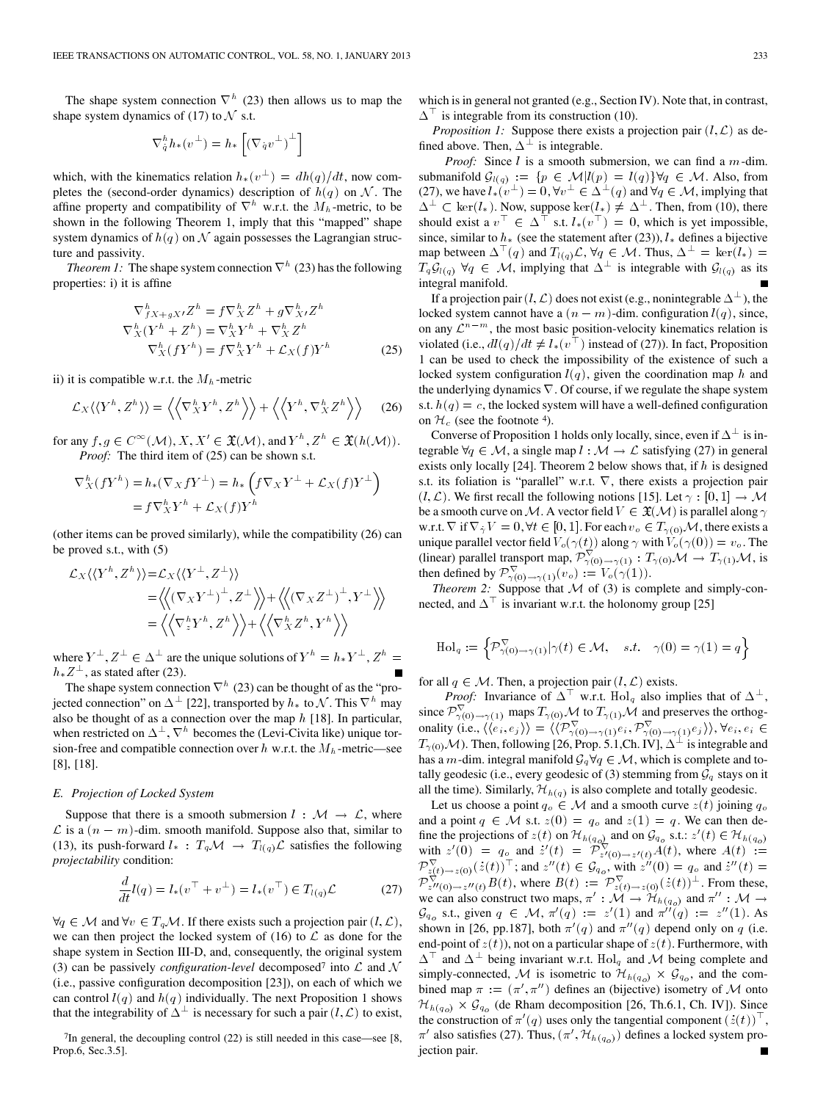The shape system connection  $\nabla^h$  (23) then allows us to map the shape system dynamics of (17) to  $\mathcal N$  s.t.

$$
\nabla_{q}^{h}h_{*}(v^{\perp})=h_{*}\left[\left(\nabla_{q}v^{\perp}\right)^{\perp}\right]
$$

which, with the kinematics relation  $h_*(v^{\perp}) = dh(q)/dt$ , now completes the (second-order dynamics) description of  $h(q)$  on N. The affine property and compatibility of  $\nabla^h$  w.r.t. the  $M_h$ -metric, to be shown in the following Theorem 1, imply that this "mapped" shape system dynamics of  $h(q)$  on  $\mathcal N$  again possesses the Lagrangian structure and passivity.

*Theorem 1:* The shape system connection  $\nabla^h$  (23) has the following properties: i) it is affine

$$
\nabla^h_{JX+gX'}Z^h = f\nabla^h_{X}Z^h + g\nabla^h_{X'}Z^h
$$
  

$$
\nabla^h_{X}(Y^h + Z^h) = \nabla^h_{X}Y^h + \nabla^h_{X}Z^h
$$
  

$$
\nabla^h_{X}(fY^h) = f\nabla^h_{X}Y^h + \mathcal{L}_{X}(f)Y^h
$$
 (25)

ii) it is compatible w.r.t. the  $M_h$ -metric

$$
\mathcal{L}_X \langle \langle Y^h, Z^h \rangle \rangle = \left\langle \left\langle \nabla_X^h Y^h, Z^h \right\rangle \right\rangle + \left\langle \left\langle Y^h, \nabla_X^h Z^h \right\rangle \right\rangle \tag{26}
$$

for any  $f, g \in C^{\infty}(\mathcal{M}), X, X' \in \mathfrak{X}(\mathcal{M}),$  and  $Y^h, Z^h \in \mathfrak{X}(h(\mathcal{M})).$ *Proof:* The third item of (25) can be shown s.t.

$$
\nabla_X^h (fY^h) = h_*(\nabla_X fY^\perp) = h_* \left( f \nabla_X Y^\perp + \mathcal{L}_X(f) Y^\perp \right)
$$
  
=  $f \nabla_X^h Y^h + \mathcal{L}_X(f) Y^h$ 

(other items can be proved similarly), while the compatibility (26) can be proved s.t., with (5)

$$
\mathcal{L}_X \langle \langle Y^h, Z^h \rangle \rangle = \mathcal{L}_X \langle \langle Y^\perp, Z^\perp \rangle \rangle
$$
  
=  $\langle \langle (\nabla_X Y^\perp)^\perp, Z^\perp \rangle \rangle + \langle \langle (\nabla_X Z^\perp)^\perp, Y^\perp \rangle \rangle$   
=  $\langle \langle \nabla_z^h Y^h, Z^h \rangle \rangle + \langle \langle \nabla_X^h Z^h, Y^h \rangle \rangle$ 

where  $Y^{\perp}$ ,  $Z^{\perp} \in \Delta^{\perp}$  are the unique solutions of  $Y^h = h_* Y^{\perp}$ ,  $Z^h =$  $h_*Z^{\perp}$ , as stated after (23).

The shape system connection  $\nabla^h$  (23) can be thought of as the "projected connection" on  $\Delta^{\perp}$  [22], transported by  $h_*$  to  $\mathcal N$ . This  $\nabla^h$  may also be thought of as a connection over the map  $h$  [18]. In particular, when restricted on  $\Delta^{\perp}, \nabla^h$  becomes the (Levi-Civita like) unique torsion-free and compatible connection over  $h$  w.r.t. the  $M_h$ -metric—see [8], [18].

### *E. Projection of Locked System*

Suppose that there is a smooth submersion  $l : \mathcal{M} \to \mathcal{L}$ , where  $\mathcal L$  is a  $(n - m)$ -dim. smooth manifold. Suppose also that, similar to (13), its push-forward  $l_*$ :  $T_q \mathcal{M} \to T_{l(q)} \mathcal{L}$  satisfies the following *projectability* condition:

$$
\frac{d}{dt}l(q) = l_*(v^{\top} + v^{\perp}) = l_*(v^{\top}) \in T_{l(q)}\mathcal{L}
$$
 (27)

 $\forall q \in \mathcal{M}$  and  $\forall v \in T_q \mathcal{M}$ . If there exists such a projection pair  $(l, \mathcal{L}),$ we can then project the locked system of (16) to  $\mathcal L$  as done for the shape system in Section III-D, and, consequently, the original system (3) can be passively *configuration-level* decomposed<sup>7</sup> into  $\mathcal L$  and  $\mathcal N$ (i.e., passive configuration decomposition [23]), on each of which we can control  $l(q)$  and  $h(q)$  individually. The next Proposition 1 shows that the integrability of  $\Delta^{\perp}$  is necessary for such a pair  $(l, \mathcal{L})$  to exist,

 $7$ In general, the decoupling control (22) is still needed in this case—see [8, Prop.6, Sec.3.5].

which is in general not granted (e.g., Section IV). Note that, in contrast,  $\Delta^{\top}$  is integrable from its construction (10).

*Proposition 1:* Suppose there exists a projection pair  $(l, \mathcal{L})$  as defined above. Then,  $\Delta^{\perp}$  is integrable.

*Proof:* Since  $l$  is a smooth submersion, we can find a  $m$ -dim. submanifold  $\mathcal{G}_{l(q)} := \{ p \in \mathcal{M} | l(p) = l(q) \} \forall q \in \mathcal{M}$ . Also, from (27), we have  $l_*(v^{\perp}) = 0$ ,  $\forall v^{\perp} \in \Delta^{\perp}(q)$  and  $\forall q \in \mathcal{M}$ , implying that  $\Delta^{\perp} \subset \text{ker}(l_*)$ . Now, suppose  $\text{ker}(l_*) \neq \Delta^{\perp}$ . Then, from (10), there should exist a  $v^{\top} \in \Delta^{\top}$  s.t.  $l_*(v^{\top}) = 0$ , which is yet impossible, since, similar to  $h_*$  (see the statement after (23)),  $l_*$  defines a bijective map between  $\Delta^{\top}(q)$  and  $T_{l(q)}\mathcal{L}, \forall q \in \mathcal{M}$ . Thus,  $\Delta^{\perp} = \ker(l_*) =$  $T_q \mathcal{G}_{l(q)}$   $\forall q \in \mathcal{M}$ , implying that  $\Delta^{\perp}$  is integrable with  $\mathcal{G}_{l(q)}$  as its integral manifold.

If a projection pair  $(l, \mathcal{L})$  does not exist (e.g., nonintegrable  $\Delta^{\perp}$ ), the locked system cannot have a  $(n - m)$ -dim. configuration  $l(q)$ , since, on any  $\mathcal{L}^{n-m}$ , the most basic position-velocity kinematics relation is violated (i.e.,  $dl(q)/dt \neq l_*(v^{\dagger})$  instead of (27)). In fact, Proposition 1 can be used to check the impossibility of the existence of such a locked system configuration  $l(q)$ , given the coordination map h and the underlying dynamics  $\nabla$ . Of course, if we regulate the shape system s.t.  $h(q) = c$ , the locked system will have a well-defined configuration on  $\mathcal{H}_c$  (see the footnote 4).

Converse of Proposition 1 holds only locally, since, even if  $\Delta^{\perp}$  is integrable  $\forall q \in \mathcal{M}$ , a single map  $l : \mathcal{M} \to \mathcal{L}$  satisfying (27) in general exists only locally [24]. Theorem 2 below shows that, if  $h$  is designed s.t. its foliation is "parallel" w.r.t.  $\nabla$ , there exists a projection pair  $(l, \mathcal{L})$ . We first recall the following notions [15]. Let  $\gamma : [0, 1] \to \mathcal{M}$ be a smooth curve on  $\cal M$  . A vector field  $V\in\mathfrak{X}({\cal M})$  is parallel along  $\gamma$ w.r.t.  $\nabla$  if  $\nabla_{\dot{\gamma}}V=0, \forall t\in [0,1].$  For each  $v_o\in T_{\gamma(0)}\mathcal{M},$  there exists a unique parallel vector field  $V_o(\gamma(t))$  along  $\gamma$  with  $V_o(\gamma(0)) = v_o$ . The (linear) parallel transport map,  $\mathcal{P}_{\gamma(0)\to\gamma(1)}^{\nabla}$ :  $T_{\gamma(0)}\mathcal{M} \to T_{\gamma(1)}\mathcal{M}$ , is then defined by  $\mathcal{P}_{\gamma(0)\to\gamma(1)}^{\nabla}(v_o) := V_o(\gamma(1)).$ 

*Theorem 2:* Suppose that  $M$  of (3) is complete and simply-connected, and  $\Delta^{\top}$  is invariant w.r.t. the holonomy group [25]

$$
\mathrm{Hol}_{q}:=\Big\{\mathcal{P}_{\gamma(0)\to\gamma(1)}^{\nabla}|\gamma(t)\in\mathcal{M},\quad s.t. \quad \gamma(0)=\gamma(1)=q\Big\}
$$

for all  $q \in \mathcal{M}$ . Then, a projection pair  $(l, \mathcal{L})$  exists.

*Proof:* Invariance of  $\Delta^{\top}$  w.r.t.  $\text{Hol}_q$  also implies that of  $\Delta^{\perp}$ , since  $\mathcal{P}_{\gamma(0)\to\gamma(1)}^{\nabla}$  maps  $T_{\gamma(0)}\mathcal{M}$  to  $T_{\gamma(1)}\mathcal{M}$  and preserves the orthogonality (i.e.,  $\langle \langle e_i, e_j \rangle \rangle = \langle \langle \mathcal{P}_{\gamma(0), \gamma(1)}^{\nabla} e_i, \mathcal{P}_{\gamma(0), \gamma(1)}^{\nabla} e_j \rangle \rangle$ ,  $\forall e_i, e_i \in$  $T_{\gamma(0)}\mathcal{M}$ ). Then, following [26, Prop. 5.1,Ch. IV],  $\Delta^{\perp}$  is integrable and has a m-dim. integral manifold  $\mathcal{G}_q \forall q \in \mathcal{M}$ , which is complete and totally geodesic (i.e., every geodesic of (3) stemming from  $\mathcal{G}_q$  stays on it all the time). Similarly,  $\mathcal{H}_{h(q)}$  is also complete and totally geodesic.

Let us choose a point  $q_o \in \mathcal{M}$  and a smooth curve  $z(t)$  joining  $q_o$ and a point  $q \in \mathcal{M}$  s.t.  $z(0) = q_o$  and  $z(1) = q$ . We can then define the projections of  $z(t)$  on  $\mathcal{H}_{h(q_o)}$  and on  $\mathcal{G}_{q_o}$  s.t.:  $z'(t) \in \mathcal{H}_{h(q_o)}$ <br>with  $z'(0) = q_o$  and  $z'(t) = \mathcal{P}_{z'(0) \to z'(t)}^{\mathcal{F}_{q_0}} A(t)$ , where  $A(t) :=$  $\mathcal{P}_{z(t)\to z(0)}^{\nabla}(z(t))^{\top}$ ; and  $z''(t) \in \mathcal{G}_{q_o}$ , with  $z''(0) = q_o$  and  $z''(t) =$  $\mathcal{P}_{z''(0)\to z''(t)}^{\nabla} B(t)$ , where  $B(t) := \mathcal{P}_{z(t)\to z(0)}^{\nabla} (z(t))^{\perp}$ . From these, we can also construct two maps,  $\pi' : \tilde{M} \to \mathcal{H}_{h(q_o)}$  and  $\pi'' : \mathcal{M} \to$  $\mathcal{G}_{q_0}$  s.t., given  $q \in \mathcal{M}$ ,  $\pi'(q) := z'(1)$  and  $\pi''(q) := z''(1)$ . As shown in [26, pp.187], both  $\pi'(q)$  and  $\pi''(q)$  depend only on q (i.e. end-point of  $z(t)$ ), not on a particular shape of  $z(t)$ . Furthermore, with  $\Delta^{\top}$  and  $\Delta^{\perp}$  being invariant w.r.t.  $\text{Hol}_q$  and  $\mathcal M$  being complete and simply-connected, M is isometric to  $\mathcal{H}_{h(q_o)} \times \mathcal{G}_{q_o}$ , and the combined map  $\pi := (\pi', \pi'')$  defines an (bijective) isometry of M onto  $\mathcal{H}_{h(q_o)} \times \mathcal{G}_{q_o}$  (de Rham decomposition [26, Th.6.1, Ch. IV]). Since the construction of  $\pi'(q)$  uses only the tangential component  $(z(t))^{\top}$ ,  $\pi'$  also satisfies (27). Thus,  $(\pi', \mathcal{H}_{h(q_o)})$  defines a locked system projection pair.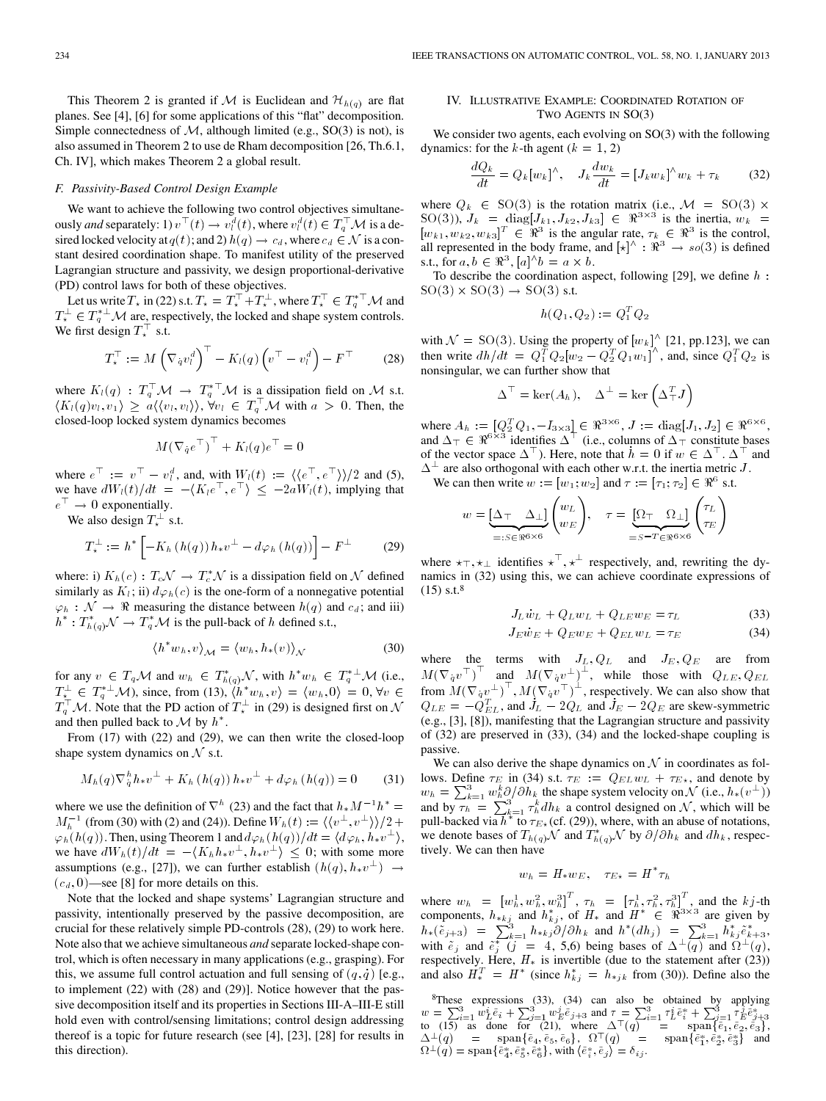This Theorem 2 is granted if M is Euclidean and  $\mathcal{H}_{h(q)}$  are flat planes. See [4], [6] for some applications of this "flat" decomposition. Simple connectedness of  $M$ , although limited (e.g., SO(3) is not), is also assumed in Theorem 2 to use de Rham decomposition [26, Th.6.1, Ch. IV], which makes Theorem 2 a global result.

### *F. Passivity-Based Control Design Example*

We want to achieve the following two control objectives simultaneously *and* separately: 1)  $v^{\top}(t) \to v_t^d(t)$ , where  $v_t^d(t) \in T_q^{\top} \mathcal{M}$  is a desired locked velocity at  $q(t)$ ; and 2)  $h(q) \to c_d$ , where  $c_d \in \mathcal{N}$  is a constant desired coordination shape. To manifest utility of the preserved Lagrangian structure and passivity, we design proportional-derivative (PD) control laws for both of these objectives.

Let us write  $T_{\star}$  in (22) s.t.  $T_{\star} = T_{\star}^{\top} + T_{\star}^{\perp}$ , where  $T_{\star}^{\top} \in T_q^{*\top} \mathcal{M}$  and  $T_{\star}^{\perp} \in T_q^{*\perp} \mathcal{M}$  are, respectively, the locked and shape system controls. We first design  $T^{\top}_*$  s.t.

$$
T_{\star}^{\top} := M \left( \nabla_{q} v_{l}^{d} \right)^{\top} - K_{l}(q) \left( v^{\top} - v_{l}^{d} \right) - F^{\top} \tag{28}
$$

where  $K_l(q)$ :  $T_q^{\top} \mathcal{M} \to T_q^{*\top} \mathcal{M}$  is a dissipation field on M s.t.  $\langle K_l(q)v_l, v_1 \rangle \geq a \langle \langle v_l, v_l \rangle \rangle$ ,  $\forall v_l \in T_q^{\top} \mathcal{M}$  with  $a > 0$ . Then, the closed-loop locked system dynamics becomes

$$
M(\nabla_{\dot q}e^{\top})^{\top} + K_l(q)e^{\top} = 0
$$

where  $e^{\top} := v^{\top} - v^d_l$ , and, with  $W_l(t) := \langle \langle e^{\top}, e^{\top} \rangle \rangle / 2$  and (5), we have  $dW_l(t)/dt = -\langle K_l e^\top, e^\top \rangle \leq -2aW_l(t)$ , implying that  $e^{\top} \rightarrow 0$  exponentially.

We also design  $T^{\perp}_{\star}$  s.t.

$$
T_*^{\perp} := h^* \left[ -K_h \left( h(q) \right) h_* v^{\perp} - d\varphi_h \left( h(q) \right) \right] - F^{\perp} \tag{29}
$$

where: i)  $K_h(c)$ :  $T_c \mathcal{N} \to T_c^* \mathcal{N}$  is a dissipation field on  $\mathcal N$  defined similarly as  $K_l$ ; ii)  $d\varphi_h(c)$  is the one-form of a nonnegative potential  $\varphi_h : \mathcal{N} \to \mathbb{R}$  measuring the distance between  $h(q)$  and  $c_d$ ; and iii)  $h^*: T^*_{h(q)}\mathcal{N} \to T^*_q\mathcal{M}$  is the pull-back of h defined s.t.,

$$
\langle h^* w_h, v \rangle_{\mathcal{M}} = \langle w_h, h_*(v) \rangle_{\mathcal{N}} \tag{30}
$$

for any  $v \in T_q \mathcal{M}$  and  $w_h \in T^*_{h(q)} \mathcal{N}$ , with  $h^* w_h \in T_q^{*\perp} \mathcal{M}$  (i.e.,  $T_{\star}^{\perp} \in T_q^{* \perp} \mathcal{M}$ , since, from (13),  $\langle h^* w_h, v \rangle = \langle w_h, 0 \rangle = 0, \forall v \in$  $T_q^{\top}$  M. Note that the PD action of  $T_{\star}^{\perp}$  in (29) is designed first on N and then pulled back to  $\mathcal M$  by  $h^*$ .

From (17) with (22) and (29), we can then write the closed-loop shape system dynamics on  $N$  s.t.

$$
M_h(q)\nabla_{\dot{q}}^h h_* v^{\perp} + K_h(h(q))h_* v^{\perp} + d\varphi_h(h(q)) = 0 \qquad (31)
$$

where we use the definition of  $\nabla^h$  (23) and the fact that  $h_* M^{-1} h^* =$  $M_h^{-1}$  (from (30) with (2) and (24)). Define  $W_h(t) := \langle \langle v^\perp, v^\perp \rangle \rangle / 2 +$  $\varphi_h(h(q))$ . Then, using Theorem 1 and  $d\varphi_h(h(q))/dt = \langle d\varphi_h, h_* v^{\perp} \rangle$ , we have  $dW_h(t)/dt = -\langle K_h h_* v^{\perp}, h_* v^{\perp} \rangle \leq 0$ ; with some more assumptions (e.g., [27]), we can further establish  $(h(q), h_* v^{\perp}) \rightarrow$  $(c_d, 0)$ —see [8] for more details on this.

Note that the locked and shape systems' Lagrangian structure and passivity, intentionally preserved by the passive decomposition, are crucial for these relatively simple PD-controls (28), (29) to work here. Note also that we achieve simultaneous *and* separate locked-shape control, which is often necessary in many applications (e.g., grasping). For this, we assume full control actuation and full sensing of  $(q, q)$  [e.g., to implement (22) with (28) and (29)]. Notice however that the passive decomposition itself and its properties in Sections III-A–III-E still hold even with control/sensing limitations; control design addressing thereof is a topic for future research (see [4], [23], [28] for results in this direction).

# IV. ILLUSTRATIVE EXAMPLE: COORDINATED ROTATION OF TWO AGENTS IN SO(3)

We consider two agents, each evolving on SO(3) with the following dynamics: for the k-th agent  $(k = 1, 2)$ 

$$
\frac{dQ_k}{dt} = Q_k[w_k]^\wedge, \quad J_k \frac{dw_k}{dt} = [J_k w_k]^\wedge w_k + \tau_k \tag{32}
$$

where  $Q_k \in SO(3)$  is the rotation matrix (i.e.,  $\mathcal{M} = SO(3) \times$  $SO(3)$ ),  $J_k = \text{diag}[J_{k1}, J_{k2}, J_{k3}] \in \Re^{3 \times 3}$  is the inertia,  $w_k =$  $[w_{k1}, w_{k2}, w_{k3}]^T \in \mathbb{R}^3$  is the angular rate,  $\tau_k \in \mathbb{R}^3$  is the control, all represented in the body frame, and  $\ket{\star}^{\wedge} : \Re^3 \to so(3)$  is defined s.t., for  $a, b \in \Re^3$ ,  $[a]^{\wedge} b = a \times b$ .

To describe the coordination aspect, following [29], we define  $h$ :  $SO(3) \times SO(3) \rightarrow SO(3)$  s.t.

$$
h(Q_1, Q_2) := Q_1^T Q_2
$$

with  $\mathcal{N} = SO(3)$ . Using the property of  $[w_k]^\wedge$  [21, pp.123], we can then write  $dh/dt = Q_1^T Q_2 [w_2 - Q_2^T Q_1 w_1]^{\wedge}$ , and, since  $Q_1^T Q_2$  is nonsingular, we can further show that

$$
\Delta^{\top} = \ker(A_h), \quad \Delta^{\perp} = \ker\left(\Delta_{\top}^T J\right)
$$

where  $A_h := [Q_2^T Q_1, -I_{3 \times 3}] \in \Re^{3 \times 6}, J := \text{diag}[J_1, J_2] \in \Re^{6 \times 6},$ and  $\Delta_{\top} \in \Re^{6 \times 3}$  identifies  $\Delta^{\top}$  (i.e., columns of  $\Delta_{\top}$  constitute bases of the vector space  $\Delta^{\top}$ ). Here, note that  $h = 0$  if  $w \in \Delta^{\top}$ .  $\Delta^{\top}$  and  $\Delta^{\perp}$  are also orthogonal with each other w.r.t. the inertia metric J.

We can then write  $w := [w_1; w_2]$  and  $\tau := [\tau_1; \tau_2] \in \Re^6$  s.t.

$$
w = \underbrace{[\Delta_{\top} \Delta_{\bot}]}_{=:S \in \Re^{6 \times 6}} \begin{pmatrix} w_L \\ w_E \end{pmatrix}, \quad \tau = \underbrace{[\Omega_{\top} \Omega_{\bot}]}_{=S - T \in \Re^{6 \times 6}} \begin{pmatrix} \tau_L \\ \tau_E \end{pmatrix}
$$

where  $\star_{\top}$ ,  $\star_{\bot}$  identifies  $\star^{\top}$ ,  $\star^{\bot}$  respectively, and, rewriting the dynamics in (32) using this, we can achieve coordinate expressions of (15) s.t.8

$$
J_L \dot{w}_L + Q_L w_L + Q_{LE} w_E = \tau_L \tag{33}
$$

$$
J_E \dot{w}_E + Q_E w_E + Q_{EL} w_L = \tau_E \tag{34}
$$

where the terms with  $J_L, Q_L$  and  $J_E, Q_E$  are from  $M(\nabla_q v^{\top})^{\top}$  and  $M(\nabla_q v^{\perp})^{\perp}$ , while those with  $Q_{LE}, Q_{EL}$  from  $M(\nabla_q v^{\perp})^{\top}$ ,  $M(\nabla_q v^{\top})^{\perp}$ , respectively. We can also show that  $Q_{LE} = -\dot{Q}_{EL}^{T}$ , and  $\dot{J}_L - 2\dot{Q}_L$  and  $\dot{J}_E - 2\dot{Q}_E$  are skew-symmetric (e.g., [3], [8]), manifesting that the Lagrangian structure and passivity of (32) are preserved in (33), (34) and the locked-shape coupling is passive.

We can also derive the shape dynamics on  $N$  in coordinates as follows. Define  $\tau_E$  in (34) s.t.  $\tau_E := Q_{EL} w_L + \tau_{E \star}$ , and denote by  $w_h = \sum_{k=1}^{3} w_h^k \partial/\partial h_k$  the shape system velocity on N (i.e.,  $h_*(v^{\perp})$ ) and by  $\tau_h = \sum_{k=1}^3 \tau_h^k dh_k$  a control designed on N, which will be pull-backed via  $\overline{h}^{\overline{h} = 1}$   $\tau_{E\star}$  (cf. (29)), where, with an abuse of notations, we denote bases of  $T_{h(q)}\mathcal{N}$  and  $T_{h(q)}^*\mathcal{N}$  by  $\partial/\partial h_k$  and  $dh_k$ , respectively. We can then have

$$
w_h = H_* w_E, \quad \tau_{E*} = H^* \tau_h
$$

where  $w_h = [w_h^1, w_h^2, w_h^3]^T$ ,  $\tau_h = [\tau_h^1, \tau_h^2, \tau_h^3]^T$ , and the kj-th components,  $h_{*kj}$  and  $h_{kj}^*$ , of  $H_*$  and  $H^* \in \mathbb{R}^{3 \times 3}$  are given by  $h_*(\tilde{e}_{j+3}) = \sum_{k=1}^3 h_{*kj} \partial/\partial h_k$  and  $h^*(dh_j) = \sum_{k=1}^3 h_{kj}^* \tilde{e}_{k+3}^*$ , with  $\tilde{e}_j$  and  $\tilde{e}_j^*$   $\tilde{g}_j = 4$ , 5,6) being bases of  $\Delta^{\perp}(q)$  and  $\Omega^{\perp}(q)$ , respectively. Here,  $H_*$  is invertible (due to the statement after (23)) and also  $\hat{H}_*^T = H^*$  (since  $h_{kj}^* = h_{*jk}$  from (30)). Define also the

 $8$ These expressions (33), (34) can also be obtained by applying  $w = \sum_{i=1}^{3} w_{L}^{i} \bar{e}_{i} + \sum_{j=1}^{3} w_{L}^{2} \bar{e}_{j+3}$  and  $\tau = \sum_{i=1}^{3} \tau_{L}^{i} \bar{e}_{i}^{*} + \sum_{j=1}^{3} \tau_{L}^{2} \bar{e}_{j+3}^{*}$ <br>to (15) as done for (21), where  $\Delta^{\top}(q) = \text{span}\{\bar{e}_{1}, \bar{e}_{2}, \bar{e}_{3}\},$  $\Delta^{\pm}(q)$  =  ${\rm span}\{\bar{e}_4,\bar{e}_5,\bar{e}_6\}, \ \ \Omega^{\mp}(q)$  =  ${\rm span}\{\bar{e}_1^*,\bar{e}_2^*,\bar{e}_3^*\}$  and  $\Omega^{\perp}(q) = \text{span} \{ \bar{e}_4^*, \bar{e}_5^*, \bar{e}_6^* \}, \text{with } \langle \bar{e}_i^*, \bar{e}_j \rangle = \delta_{ij}.$